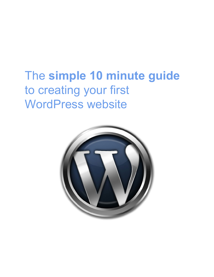# The **simple10 minute guide** to creating your first WordPress website

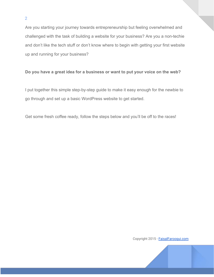Are you starting your journey towards entrepreneurship but feeling overwhelmed and challenged with the task of building a website for your business? Are you a non-techie and don't like the tech stuff or don't know where to begin with getting your first website up and running for your business?

#### **Do you have a great idea for a business or want to put your voice on the web?**

I put together this simple step-by-step guide to make it easy enough for the newbie to go through and set up a basic WordPress website to get started.

Get some fresh coffee ready, follow the steps below and you'll be off to the races!

Copyright 2015 - [FaisalFarooqui.com](http://www.faisalfarooqui.com/)

2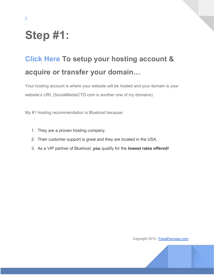# **Step #1:**

3

## **[Click](http://www.faisalfarooqui.com/bluehost) HereTo setup your hosting account & acquire or transfer your domain…**

Your hosting account is where your website will be hosted and your domain is your website's URL (SocialMediaCTD.com is another one of my domains).

My #1 hosting recommendation is Bluehost because:

- 1. They are a proven hosting company.
- 2. Their customer support is great and they are located in the USA.
- 3. As a VIP partner of Bluehost, **you**qualify for the **lowest rates offered!**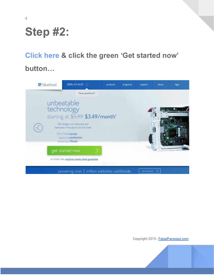# **Step #2:**

4

## **[Click](http://www.faisalfarooqui.com/bluehost) here& click the green 'Get started now' button…**

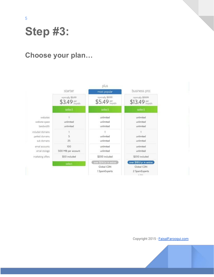5

### **Choose your plan…**

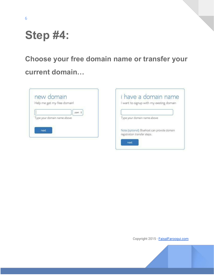# **Step #4:**

### **Choose your free domain name or transfer your current domain…**

| Type your domain name above | .com: |
|-----------------------------|-------|

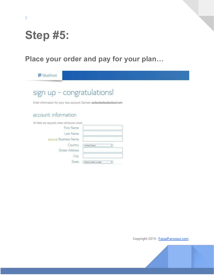# **Step #5:**

### **Place your order and pay for your plan…**

**III** bluehost

### sign up - congratulations!

Enter information for your new account. Domain: asdasdasdasdasdasd.com

### account information

| All fields are required unless otherwise noted, |                       |   |
|-------------------------------------------------|-----------------------|---|
| First Name                                      |                       |   |
| Last Name                                       |                       |   |
| (optional) Business Name                        |                       |   |
| Country                                         | <b>United States</b>  | ٥ |
| Street Address                                  |                       |   |
| City                                            |                       |   |
| State                                           | Please select a state | ÷ |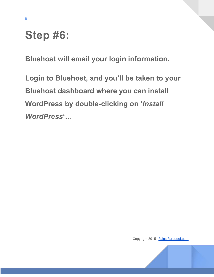## **Step #6:**

**Bluehost will email your login information.**

**Login to Bluehost, and you'll be taken to your Bluehost dashboard where you can install WordPress by double-clicking on 'Install'** *WordPress***'…**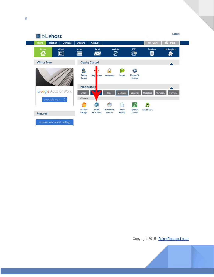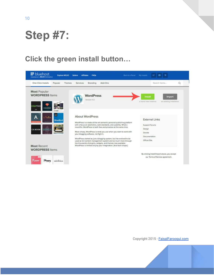# **Step #7:**

### **Click the green install button…**

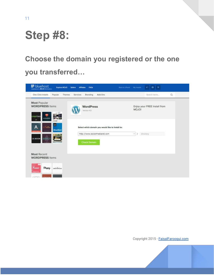# **Step #8:**

## **Choose the domain you registered or the one you transferred…**

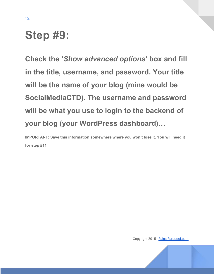# **Step #9:**

**Check the '***Show advanced options***' box and fill in the title, username, and password. Your title will be the name of your blog (mine would be SocialMediaCTD). The username and password will be what you use to login to the backend of your blog (your WordPress dashboard)…**

**IMPORTANT: Save this information somewhere where you won't lose it. You will need it for step #11**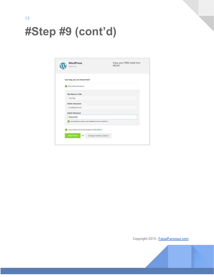**#Step #9 (cont'd)**

| <b>WordPress</b><br>Version 4.0  |                                                            | Enjoy your FREE Install from<br>MOJO! |
|----------------------------------|------------------------------------------------------------|---------------------------------------|
| Last step, you are almost there! |                                                            |                                       |
| Show advanced options            |                                                            |                                       |
| Site Name or Title               |                                                            |                                       |
| Test Site                        |                                                            |                                       |
| Admin Username                   |                                                            |                                       |
| email@gmail.com                  |                                                            |                                       |
| <b>Admin Password</b>            |                                                            |                                       |
| 123pass321                       |                                                            |                                       |
|                                  | Automatically create a new database for this installation. |                                       |
|                                  | I have read the terms and conditions of the GPLv2          |                                       |
| <b>Install Now</b><br>OR         | Change Install Location                                    |                                       |
|                                  |                                                            |                                       |

Copyright 2015 - [FaisalFarooqui.com](http://www.faisalfarooqui.com/)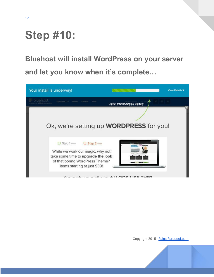# **Step #10:**

**Bluehost will install WordPress on your server and let you know when it's complete…**

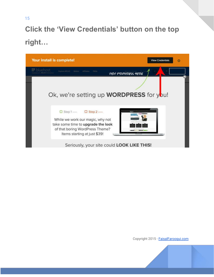**Click the 'View Credentials' button on the top right…**

| Your install is complete!                                                                             | <b>View Credentials</b> |
|-------------------------------------------------------------------------------------------------------|-------------------------|
| <b>bluehost</b><br>Explore MOJO<br>FACs:<br>Sellers:<br>Affiliates:<br>VIEW PROGRESS HERE             |                         |
|                                                                                                       |                         |
| Ok, we're setting up <b>WORDPRESS</b> for you!                                                        |                         |
| $\Box$ Step 1 ----<br>$\Box$ Step 2 ----                                                              |                         |
| While we work our magic, why not                                                                      |                         |
| take some time to upgrade the look<br>of that boring WordPress Theme?<br>Items starting at just \$39! |                         |
| Seriously, your site could LOOK LIKE THIS!                                                            |                         |

Copyright 2015 - [FaisalFarooqui.com](http://www.faisalfarooqui.com/)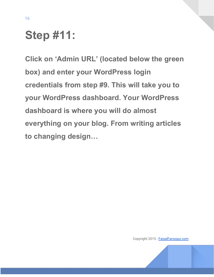# **Step #11:**

**Click on 'Admin URL' (located below the green box) and enter your WordPress login credentials from step #9. This will take you to your WordPress dashboard. Your WordPress dashboard is where you will do almost everything on your blog. From writing articles to changing design…**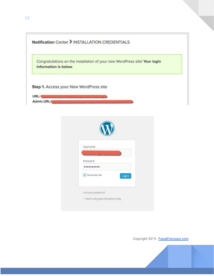

| Username                          |
|-----------------------------------|
| Password<br>                      |
| Remember Me<br>Log In             |
| Lost your password?               |
| + Back to My great Wordpress blog |

Copyright 2015 - [FaisalFarooqui.com](http://www.faisalfarooqui.com/)